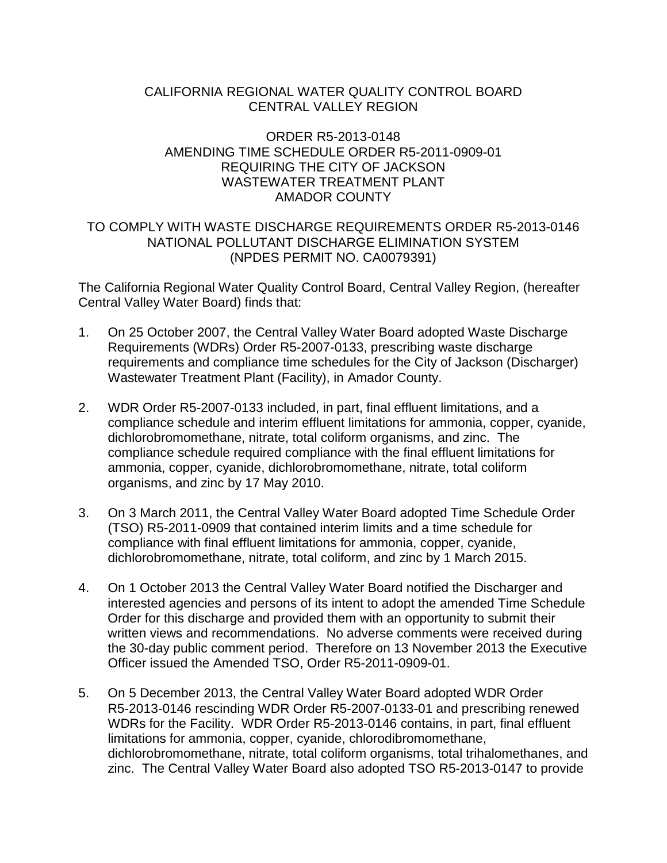# CALIFORNIA REGIONAL WATER QUALITY CONTROL BOARD CENTRAL VALLEY REGION

## ORDER R5-2013-0148 AMENDING TIME SCHEDULE ORDER R5-2011-0909-01 REQUIRING THE CITY OF JACKSON WASTEWATER TREATMENT PI ANT AMADOR COUNTY

## TO COMPLY WITH WASTE DISCHARGE REQUIREMENTS ORDER R5-2013-0146 NATIONAL POLLUTANT DISCHARGE ELIMINATION SYSTEM (NPDES PERMIT NO. CA0079391)

The California Regional Water Quality Control Board, Central Valley Region, (hereafter Central Valley Water Board) finds that:

- 1. On 25 October 2007, the Central Valley Water Board adopted Waste Discharge Requirements (WDRs) Order R5-2007-0133, prescribing waste discharge requirements and compliance time schedules for the City of Jackson (Discharger) Wastewater Treatment Plant (Facility), in Amador County.
- 2. WDR Order R5-2007-0133 included, in part, final effluent limitations, and a compliance schedule and interim effluent limitations for ammonia, copper, cyanide, dichlorobromomethane, nitrate, total coliform organisms, and zinc. The compliance schedule required compliance with the final effluent limitations for ammonia, copper, cyanide, dichlorobromomethane, nitrate, total coliform organisms, and zinc by 17 May 2010.
- 3. On 3 March 2011, the Central Valley Water Board adopted Time Schedule Order (TSO) R5-2011-0909 that contained interim limits and a time schedule for compliance with final effluent limitations for ammonia, copper, cyanide, dichlorobromomethane, nitrate, total coliform, and zinc by 1 March 2015.
- 4. On 1 October 2013 the Central Valley Water Board notified the Discharger and interested agencies and persons of its intent to adopt the amended Time Schedule Order for this discharge and provided them with an opportunity to submit their written views and recommendations. No adverse comments were received during the 30-day public comment period. Therefore on 13 November 2013 the Executive Officer issued the Amended TSO, Order R5-2011-0909-01.
- 5. On 5 December 2013, the Central Valley Water Board adopted WDR Order R5-2013-0146 rescinding WDR Order R5-2007-0133-01 and prescribing renewed WDRs for the Facility. WDR Order R5-2013-0146 contains, in part, final effluent limitations for ammonia, copper, cyanide, chlorodibromomethane, dichlorobromomethane, nitrate, total coliform organisms, total trihalomethanes, and zinc. The Central Valley Water Board also adopted TSO R5-2013-0147 to provide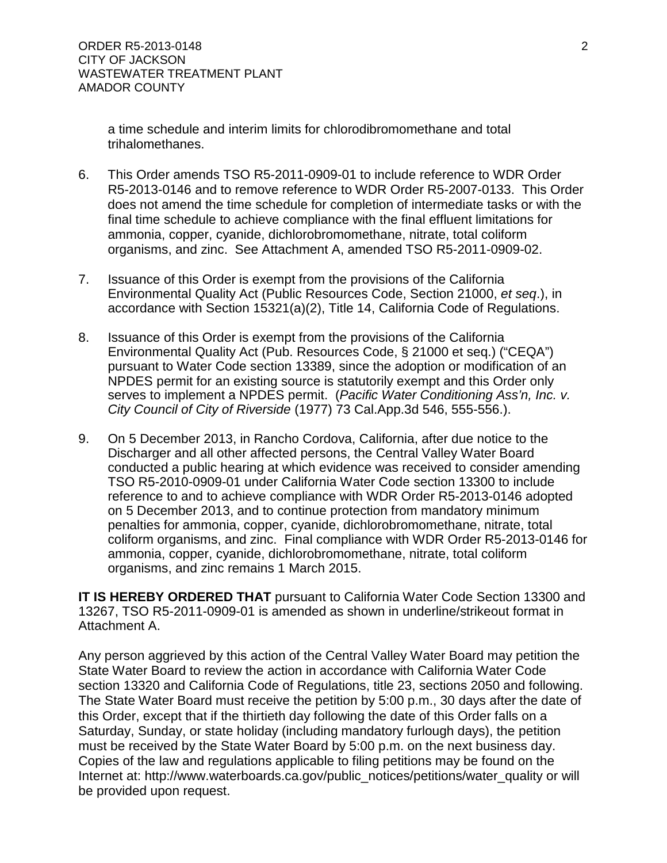a time schedule and interim limits for chlorodibromomethane and total trihalomethanes.

- 6. This Order amends TSO R5-2011-0909-01 to include reference to WDR Order R5-2013-0146 and to remove reference to WDR Order R5-2007-0133. This Order does not amend the time schedule for completion of intermediate tasks or with the final time schedule to achieve compliance with the final effluent limitations for ammonia, copper, cyanide, dichlorobromomethane, nitrate, total coliform organisms, and zinc. See Attachment A, amended TSO R5-2011-0909-02.
- 7. Issuance of this Order is exempt from the provisions of the California Environmental Quality Act (Public Resources Code, Section 21000, *et seq*.), in accordance with Section 15321(a)(2), Title 14, California Code of Regulations.
- 8. Issuance of this Order is exempt from the provisions of the California Environmental Quality Act (Pub. Resources Code, § 21000 et seq.) ("CEQA") pursuant to Water Code section 13389, since the adoption or modification of an NPDES permit for an existing source is statutorily exempt and this Order only serves to implement a NPDES permit. (*Pacific Water Conditioning Ass'n, Inc. v. City Council of City of Riverside* (1977) 73 Cal.App.3d 546, 555-556.).
- 9. On 5 December 2013, in Rancho Cordova, California, after due notice to the Discharger and all other affected persons, the Central Valley Water Board conducted a public hearing at which evidence was received to consider amending TSO R5-2010-0909-01 under California Water Code section 13300 to include reference to and to achieve compliance with WDR Order R5-2013-0146 adopted on 5 December 2013, and to continue protection from mandatory minimum penalties for ammonia, copper, cyanide, dichlorobromomethane, nitrate, total coliform organisms, and zinc. Final compliance with WDR Order R5-2013-0146 for ammonia, copper, cyanide, dichlorobromomethane, nitrate, total coliform organisms, and zinc remains 1 March 2015.

**IT IS HEREBY ORDERED THAT** pursuant to California Water Code Section 13300 and 13267, TSO R5-2011-0909-01 is amended as shown in underline/strikeout format in Attachment A.

Any person aggrieved by this action of the Central Valley Water Board may petition the State Water Board to review the action in accordance with California Water Code section 13320 and California Code of Regulations, title 23, sections 2050 and following. The State Water Board must receive the petition by 5:00 p.m., 30 days after the date of this Order, except that if the thirtieth day following the date of this Order falls on a Saturday, Sunday, or state holiday (including mandatory furlough days), the petition must be received by the State Water Board by 5:00 p.m. on the next business day. Copies of the law and regulations applicable to filing petitions may be found on the Internet at: [http://www.waterboards.ca.gov/public\\_notices/petitions/water\\_quality](http://www.waterboards.ca.gov/public_notices/petitions/water_quality) or will be provided upon request.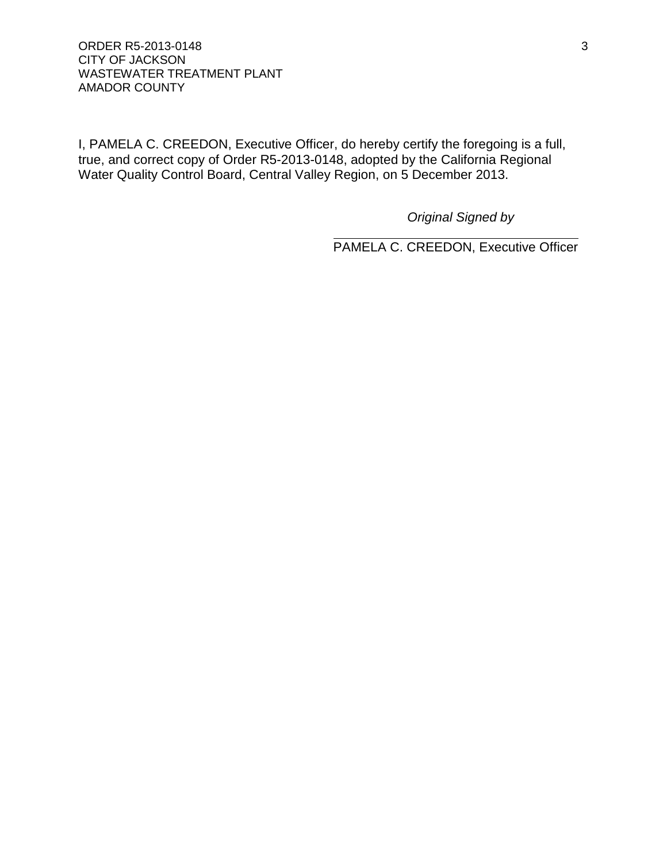### ORDER R5-2013-0148 3 CITY OF JACKSON WASTEWATER TREATMENT PLANT AMADOR COUNTY

I, PAMELA C. CREEDON, Executive Officer, do hereby certify the foregoing is a full, true, and correct copy of Order R5-2013-0148, adopted by the California Regional Water Quality Control Board, Central Valley Region, on 5 December 2013.

*Original Signed by*

PAMELA C. CREEDON, Executive Officer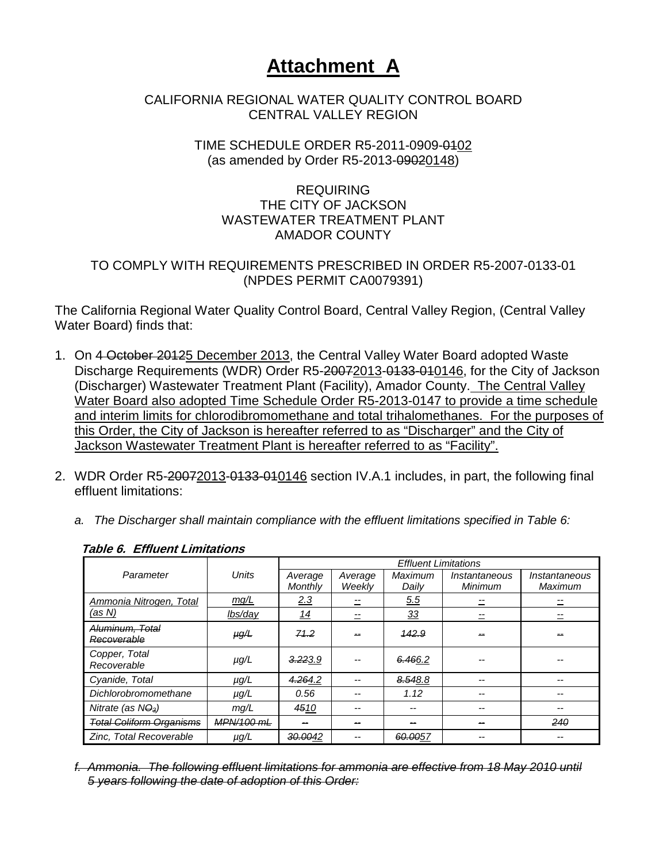# **Attachment A**

# CALIFORNIA REGIONAL WATER QUALITY CONTROL BOARD CENTRAL VALLEY REGION

## TIME SCHEDULE ORDER R5-2011-0909-0102 (as amended by Order R5-2013-09020148)

# REQUIRING THE CITY OF JACKSON WASTEWATER TREATMENT PLANT AMADOR COUNTY

# TO COMPLY WITH REQUIREMENTS PRESCRIBED IN ORDER R5-2007-0133-01 (NPDES PERMIT CA0079391)

The California Regional Water Quality Control Board, Central Valley Region, (Central Valley Water Board) finds that:

- 1. On 4 October 20125 December 2013, the Central Valley Water Board adopted Waste Discharge Requirements (WDR) Order R5-20072013-0133-010146, for the City of Jackson (Discharger) Wastewater Treatment Plant (Facility), Amador County. The Central Valley Water Board also adopted Time Schedule Order R5-2013-0147 to provide a time schedule and interim limits for chlorodibromomethane and total trihalomethanes. For the purposes of this Order, the City of Jackson is hereafter referred to as "Discharger" and the City of Jackson Wastewater Treatment Plant is hereafter referred to as "Facility".
- 2. WDR Order R5-20072013-0133-010146 section IV.A.1 includes, in part, the following final effluent limitations:
	- *a. The Discharger shall maintain compliance with the effluent limitations specified in Table 6:*

|                                 |            |            |         |                | <b>Effluent Limitations</b> |               |  |  |
|---------------------------------|------------|------------|---------|----------------|-----------------------------|---------------|--|--|
| Parameter                       | Units      | Average    | Average | <b>Maximum</b> | Instantaneous               | Instantaneous |  |  |
|                                 |            | Monthly    | Weekly  | Daily          | Minimum                     | Maximum       |  |  |
| Ammonia Nitrogen, Total         | mg/L       | 2.3        |         | 5.5            |                             |               |  |  |
| (as N)                          | lbs/day    | <u> 14</u> |         | $\frac{33}{2}$ |                             |               |  |  |
| <del>Aluminum. Total</del>      | $\mu g/L$  | 71.2       |         | 442.9          |                             |               |  |  |
| Recoverable                     |            |            |         |                |                             |               |  |  |
| Copper, Total                   | $\mu q/L$  | 3.223.9    |         | 6.466.2        |                             |               |  |  |
| Recoverable                     |            |            |         |                |                             |               |  |  |
| Cyanide, Total                  | $\mu$ g/L  | 4.264.2    |         | 8.548.8        |                             |               |  |  |
| Dichlorobromomethane            | $\mu$ g/L  | 0.56       |         | 1.12           |                             |               |  |  |
| Nitrate (as $N\Theta_3$ )       | mq/L       | 4510       |         |                |                             |               |  |  |
| <b>Total Coliform Organisms</b> | MPN/100 mL |            |         |                |                             | 240           |  |  |
| Zinc, Total Recoverable         | $\mu$ g/L  | 30.0042    |         | 60.0057        |                             |               |  |  |

## **Table 6. Effluent Limitations**

<span id="page-3-0"></span>*f. Ammonia. The following effluent limitations for ammonia are effective from 18 May 2010 until 5 years following the date of adoption of this Order:*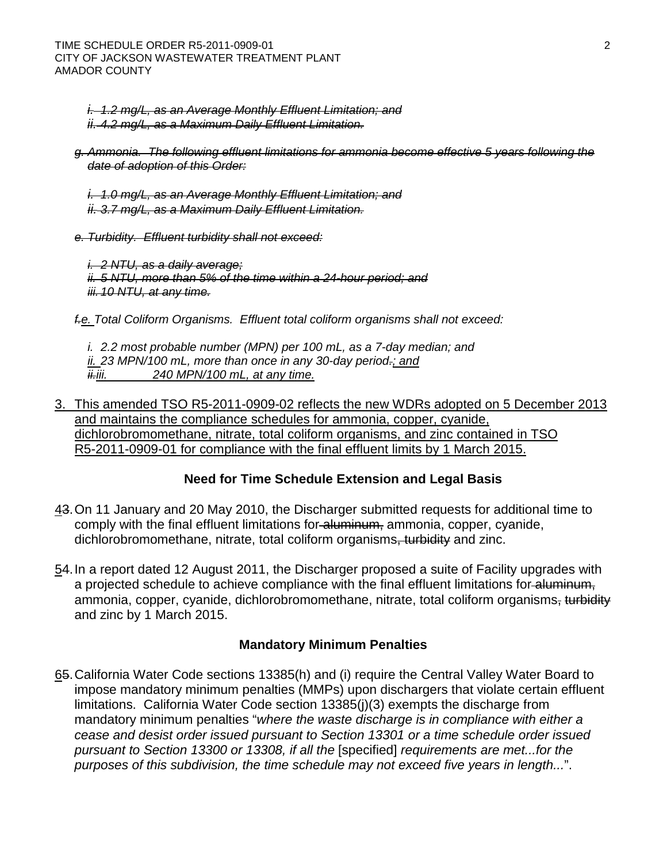*i. 1.2 mg/L, as an Average Monthly Effluent Limitation; and ii. 4.2 mg/L, as a Maximum Daily Effluent Limitation.*

- *g. Ammonia. The following effluent limitations for ammonia become effective 5 years following the date of adoption of this Order:*
	- *i. 1.0 mg/L, as an Average Monthly Effluent Limitation; and ii. 3.7 mg/L, as a Maximum Daily Effluent Limitation.*
- *e. Turbidity. Effluent turbidity shall not exceed:*

*i. 2 NTU, as a daily average; ii. 5 NTU, more than 5% of the time within a 24-hour period; and iii. 10 NTU, at any time.*

*f.e. Total Coliform Organisms. Effluent total coliform organisms shall not exceed:*

*i. 2.2 most probable number (MPN) per 100 mL, as a 7-day median; and ii. 23 MPN/100 mL, more than once in any 30-day period.; and ii.iii. 240 MPN/100 mL, at any time.*

3. This amended TSO R5-2011-0909-02 reflects the new WDRs adopted on 5 December 2013 and maintains the compliance schedules for ammonia, copper, cyanide, dichlorobromomethane, nitrate, total coliform organisms, and zinc contained in TSO R5-2011-0909-01 for compliance with the final effluent limits by 1 March 2015.

# **Need for Time Schedule Extension and Legal Basis**

- 43.On 11 January and 20 May 2010, the Discharger submitted requests for additional time to comply with the final effluent limitations for aluminum, ammonia, copper, cyanide, dichlorobromomethane, nitrate, total coliform organisms, turbidity and zinc.
- 54.In a report dated 12 August 2011, the Discharger proposed a suite of Facility upgrades with a projected schedule to achieve compliance with the final effluent limitations for aluminum, ammonia, copper, cyanide, dichlorobromomethane, nitrate, total coliform organisms, turbidity and zinc by 1 March 2015.

## **Mandatory Minimum Penalties**

65.California Water Code sections 13385(h) and (i) require the Central Valley Water Board to impose mandatory minimum penalties (MMPs) upon dischargers that violate certain effluent limitations. California Water Code section 13385(j)(3) exempts the discharge from mandatory minimum penalties "*where the waste discharge is in compliance with either a cease and desist order issued pursuant to Section 13301 or a time schedule order issued pursuant to Section 13300 or 13308, if all the* [specified] *requirements are met...for the purposes of this subdivision, the time schedule may not exceed five years in length...*".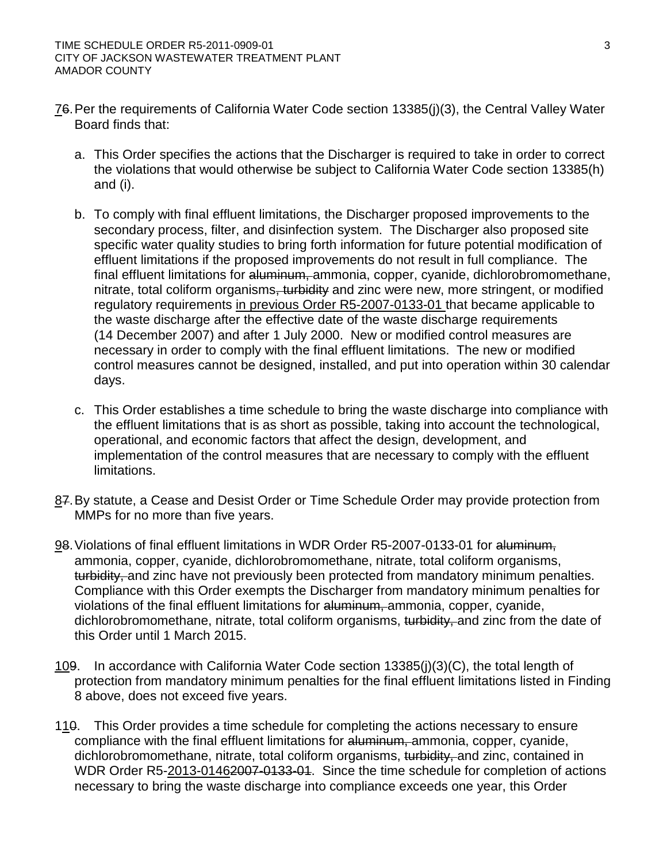- 76.Per the requirements of California Water Code section 13385(j)(3), the Central Valley Water Board finds that:
	- a. This Order specifies the actions that the Discharger is required to take in order to correct the violations that would otherwise be subject to California Water Code section 13385(h) and (i).
	- b. To comply with final effluent limitations, the Discharger proposed improvements to the secondary process, filter, and disinfection system. The Discharger also proposed site specific water quality studies to bring forth information for future potential modification of effluent limitations if the proposed improvements do not result in full compliance. The final effluent limitations for aluminum, ammonia, copper, cyanide, dichlorobromomethane, nitrate, total coliform organisms, turbidity and zinc were new, more stringent, or modified regulatory requirements in previous Order R5-2007-0133-01 that became applicable to the waste discharge after the effective date of the waste discharge requirements (14 December 2007) and after 1 July 2000. New or modified control measures are necessary in order to comply with the final effluent limitations. The new or modified control measures cannot be designed, installed, and put into operation within 30 calendar days.
	- c. This Order establishes a time schedule to bring the waste discharge into compliance with the effluent limitations that is as short as possible, taking into account the technological, operational, and economic factors that affect the design, development, and implementation of the control measures that are necessary to comply with the effluent limitations.
- 87.By statute, a Cease and Desist Order or Time Schedule Order may provide protection from MMPs for no more than five years.
- 98.Violations of final effluent limitations in WDR Order R5-2007-0133-01 for aluminum, ammonia, copper, cyanide, dichlorobromomethane, nitrate, total coliform organisms, turbidity, and zinc have not previously been protected from mandatory minimum penalties. Compliance with this Order exempts the Discharger from mandatory minimum penalties for violations of the final effluent limitations for aluminum, ammonia, copper, cyanide, dichlorobromomethane, nitrate, total coliform organisms, turbidity, and zinc from the date of this Order until 1 March 2015.
- 109. In accordance with California Water Code section 13385(j)(3)(C), the total length of protection from mandatory minimum penalties for the final effluent limitations listed in Finding 8 above, does not exceed five years.
- 110. This Order provides a time schedule for completing the actions necessary to ensure compliance with the final effluent limitations for aluminum, ammonia, copper, cyanide, dichlorobromomethane, nitrate, total coliform organisms, turbidity, and zinc, contained in WDR Order R5-2013-01462007-0133-01. Since the time schedule for completion of actions necessary to bring the waste discharge into compliance exceeds one year, this Order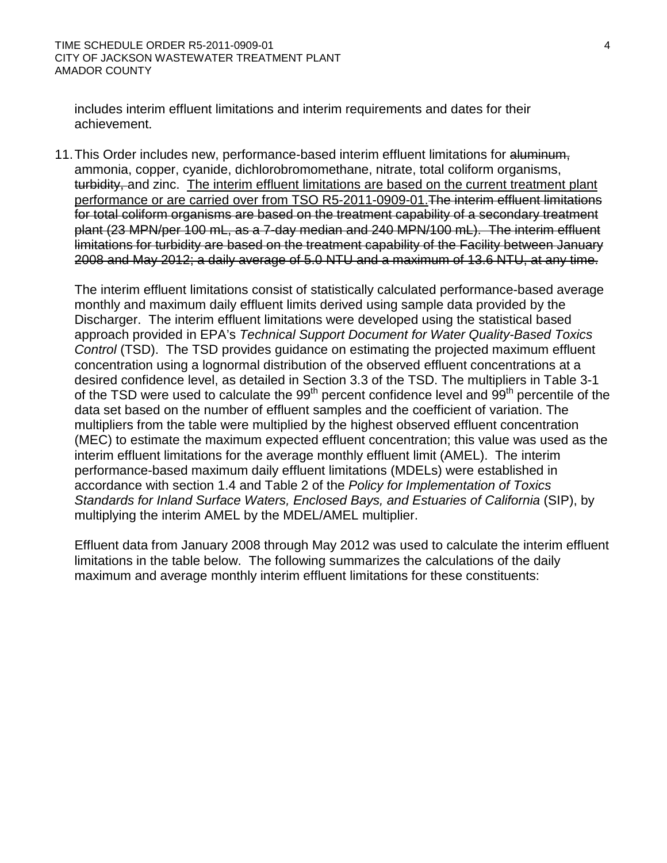includes interim effluent limitations and interim requirements and dates for their achievement.

11. This Order includes new, performance-based interim effluent limitations for aluminum, ammonia, copper, cyanide, dichlorobromomethane, nitrate, total coliform organisms, turbidity, and zinc. The interim effluent limitations are based on the current treatment plant performance or are carried over from TSO R5-2011-0909-01.The interim effluent limitations for total coliform organisms are based on the treatment capability of a secondary treatment plant (23 MPN/per 100 mL, as a 7-day median and 240 MPN/100 mL). The interim effluent limitations for turbidity are based on the treatment capability of the Facility between January 2008 and May 2012; a daily average of 5.0 NTU and a maximum of 13.6 NTU, at any time.

The interim effluent limitations consist of statistically calculated performance-based average monthly and maximum daily effluent limits derived using sample data provided by the Discharger. The interim effluent limitations were developed using the statistical based approach provided in EPA's *Technical Support Document for Water Quality-Based Toxics Control* (TSD). The TSD provides guidance on estimating the projected maximum effluent concentration using a lognormal distribution of the observed effluent concentrations at a desired confidence level, as detailed in Section 3.3 of the TSD. The multipliers in Table 3-1 of the TSD were used to calculate the  $99<sup>th</sup>$  percent confidence level and  $99<sup>th</sup>$  percentile of the data set based on the number of effluent samples and the coefficient of variation. The multipliers from the table were multiplied by the highest observed effluent concentration (MEC) to estimate the maximum expected effluent concentration; this value was used as the interim effluent limitations for the average monthly effluent limit (AMEL). The interim performance-based maximum daily effluent limitations (MDELs) were established in accordance with section 1.4 and Table 2 of the *Policy for Implementation of Toxics*  Standards for Inland Surface Waters, Enclosed Bays, and Estuaries of California (SIP), by multiplying the interim AMEL by the MDEL/AMEL multiplier.

Effluent data from January 2008 through May 2012 was used to calculate the interim effluent limitations in the table below. The following summarizes the calculations of the daily maximum and average monthly interim effluent limitations for these constituents: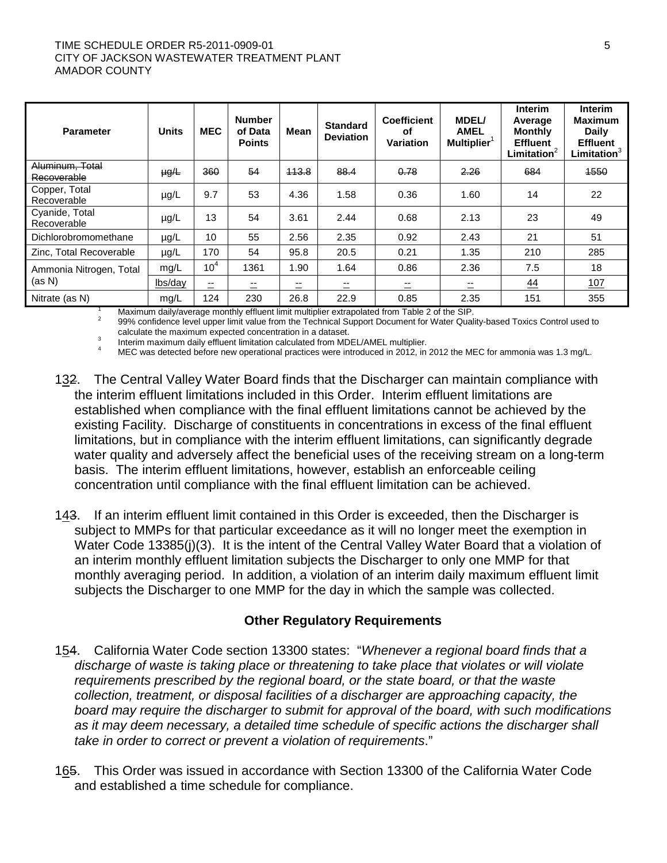#### TIME SCHEDULE ORDER R5-2011-0909-01 5 STATES AND RESIDENCE AND RESIDENCE ASSESSED. CITY OF JACKSON WASTEWATER TREATMENT PLANT AMADOR COUNTY

| <b>Parameter</b>                  | <b>Units</b> | <b>MEC</b>                     | <b>Number</b><br>of Data<br><b>Points</b> | <b>Mean</b> | <b>Standard</b><br><b>Deviation</b> | <b>Coefficient</b><br>οf<br><b>Variation</b> | <b>MDEL/</b><br><b>AMEL</b><br><b>Multiplier</b> | <b>Interim</b><br>Average<br><b>Monthly</b><br><b>Effluent</b><br>Limitation <sup>2</sup> | <b>Interim</b><br><b>Maximum</b><br>Daily<br><b>Effluent</b><br>Limitation |
|-----------------------------------|--------------|--------------------------------|-------------------------------------------|-------------|-------------------------------------|----------------------------------------------|--------------------------------------------------|-------------------------------------------------------------------------------------------|----------------------------------------------------------------------------|
| Aluminum, Total<br>Recoverable    | $\mu g/L$    | 360                            | 54                                        | 443.8       | 88.4                                | 0.78                                         | 2.26                                             | 684                                                                                       | 4550                                                                       |
| Copper, Total<br>Recoverable      | $\mu$ g/L    | 9.7                            | 53                                        | 4.36        | 1.58                                | 0.36                                         | 1.60                                             | 14                                                                                        | 22                                                                         |
| Cvanide, Total<br>Recoverable     | $\mu$ g/L    | 13                             | 54                                        | 3.61        | 2.44                                | 0.68                                         | 2.13                                             | 23                                                                                        | 49                                                                         |
| Dichlorobromomethane              | $\mu$ g/L    | 10                             | 55                                        | 2.56        | 2.35                                | 0.92                                         | 2.43                                             | 21                                                                                        | 51                                                                         |
| Zinc. Total Recoverable           | $\mu$ g/L    | 170                            | 54                                        | 95.8        | 20.5                                | 0.21                                         | 1.35                                             | 210                                                                                       | 285                                                                        |
| Ammonia Nitrogen, Total<br>(as N) | mg/L         | 10 <sup>4</sup>                | 1361                                      | 1.90        | 1.64                                | 0.86                                         | 2.36                                             | 7.5                                                                                       | 18                                                                         |
|                                   | lbs/day      | --<br>$\overline{\phantom{0}}$ | --                                        | $- -$       | --                                  | =                                            | $\equiv$                                         | <u>44</u>                                                                                 | 107                                                                        |
| Nitrate (as N)                    | mg/L         | 124                            | 230                                       | 26.8        | 22.9                                | 0.85                                         | 2.35                                             | 151                                                                                       | 355                                                                        |

<sup>1</sup> Maximum daily/average monthly effluent limit multiplier extrapolated from Table 2 of the SIP.<br><sup>2</sup> 99% confidence level upper limit value from the Technical Support Document for Water Quality-based Toxics Control used

a<br>
Interim maximum daily effluent limitation calculated from MDEL/AMEL multiplier.<br>
MEC was detected before new operational practices were introduced in 2012, in 2012 the MEC for ammonia was 1.3 mg/L.

- 132. The Central Valley Water Board finds that the Discharger can maintain compliance with the interim effluent limitations included in this Order. Interim effluent limitations are established when compliance with the final effluent limitations cannot be achieved by the existing Facility. Discharge of constituents in concentrations in excess of the final effluent limitations, but in compliance with the interim effluent limitations, can significantly degrade water quality and adversely affect the beneficial uses of the receiving stream on a long-term basis. The interim effluent limitations, however, establish an enforceable ceiling concentration until compliance with the final effluent limitation can be achieved.
- 143. If an interim effluent limit contained in this Order is exceeded, then the Discharger is subject to MMPs for that particular exceedance as it will no longer meet the exemption in Water Code 13385(j)(3). It is the intent of the Central Valley Water Board that a violation of an interim monthly effluent limitation subjects the Discharger to only one MMP for that monthly averaging period. In addition, a violation of an interim daily maximum effluent limit subjects the Discharger to one MMP for the day in which the sample was collected.

## **Other Regulatory Requirements**

- 154. California Water Code section 13300 states: "*Whenever a regional board finds that a discharge of waste is taking place or threatening to take place that violates or will violate requirements prescribed by the regional board, or the state board, or that the waste collection, treatment, or disposal facilities of a discharger are approaching capacity, the board may require the discharger to submit for approval of the board, with such modifications as it may deem necessary, a detailed time schedule of specific actions the discharger shall take in order to correct or prevent a violation of requirements*."
- 165. This Order was issued in accordance with Section 13300 of the California Water Code and established a time schedule for compliance.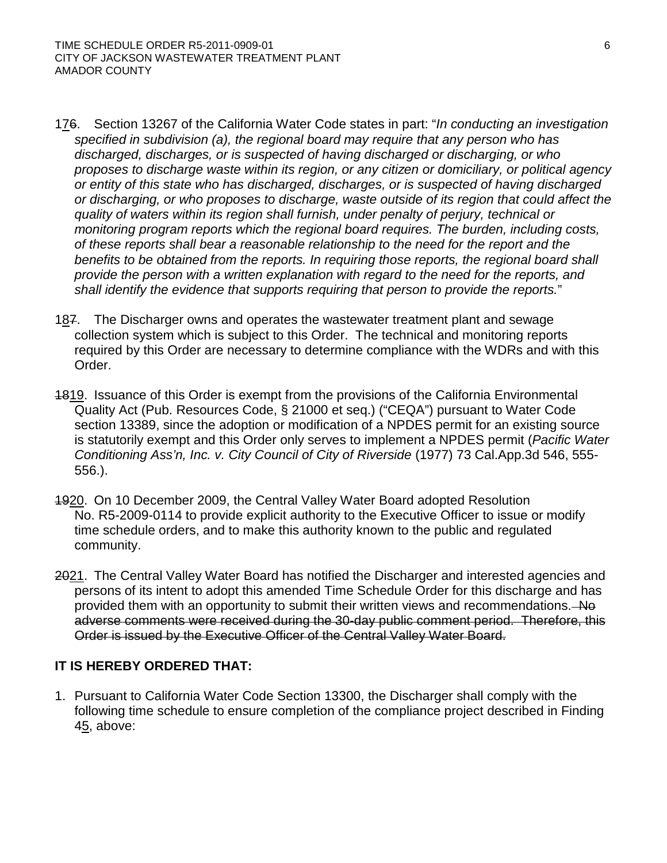- 176. Section 13267 of the California Water Code states in part: "*In conducting an investigation specified in subdivision (a), the regional board may require that any person who has discharged, discharges, or is suspected of having discharged or discharging, or who proposes to discharge waste within its region, or any citizen or domiciliary, or political agency or entity of this state who has discharged, discharges, or is suspected of having discharged or discharging, or who proposes to discharge, waste outside of its region that could affect the quality of waters within its region shall furnish, under penalty of perjury, technical or monitoring program reports which the regional board requires. The burden, including costs, of these reports shall bear a reasonable relationship to the need for the report and the benefits to be obtained from the reports. In requiring those reports, the regional board shall provide the person with a written explanation with regard to the need for the reports, and shall identify the evidence that supports requiring that person to provide the reports.*"
- 187. The Discharger owns and operates the wastewater treatment plant and sewage collection system which is subject to this Order. The technical and monitoring reports required by this Order are necessary to determine compliance with the WDRs and with this Order.
- 4819. Issuance of this Order is exempt from the provisions of the California Environmental Quality Act (Pub. Resources Code, § 21000 et seq.) ("CEQA") pursuant to Water Code section 13389, since the adoption or modification of a NPDES permit for an existing source is statutorily exempt and this Order only serves to implement a NPDES permit (*Pacific Water Conditioning Ass'n, Inc. v. City Council of City of Riverside* (1977) 73 Cal.App.3d 546, 555- 556.).
- 1920. On 10 December 2009, the Central Valley Water Board adopted Resolution No. R5-2009-0114 to provide explicit authority to the Executive Officer to issue or modify time schedule orders, and to make this authority known to the public and regulated community.
- 2021. The Central Valley Water Board has notified the Discharger and interested agencies and persons of its intent to adopt this amended Time Schedule Order for this discharge and has provided them with an opportunity to submit their written views and recommendations. No adverse comments were received during the 30-day public comment period. Therefore, this Order is issued by the Executive Officer of the Central Valley Water Board.

# **IT IS HEREBY ORDERED THAT:**

1. Pursuant to California Water Code Section 13300, the Discharger shall comply with the following time schedule to ensure completion of the compliance project described in Finding 45, above: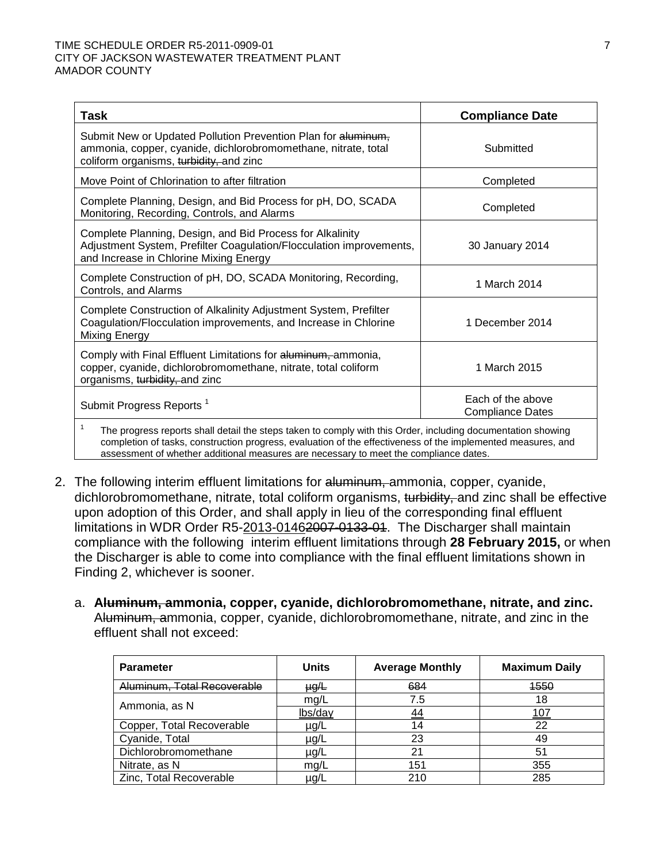| Task                                                                                                                                                                       | <b>Compliance Date</b>                       |  |  |  |  |
|----------------------------------------------------------------------------------------------------------------------------------------------------------------------------|----------------------------------------------|--|--|--|--|
| Submit New or Updated Pollution Prevention Plan for aluminum,<br>ammonia, copper, cyanide, dichlorobromomethane, nitrate, total<br>coliform organisms, turbidity, and zinc | Submitted                                    |  |  |  |  |
| Move Point of Chlorination to after filtration                                                                                                                             | Completed                                    |  |  |  |  |
| Complete Planning, Design, and Bid Process for pH, DO, SCADA<br>Monitoring, Recording, Controls, and Alarms                                                                | Completed                                    |  |  |  |  |
| Complete Planning, Design, and Bid Process for Alkalinity<br>Adjustment System, Prefilter Coagulation/Flocculation improvements,<br>and Increase in Chlorine Mixing Energy | 30 January 2014                              |  |  |  |  |
| Complete Construction of pH, DO, SCADA Monitoring, Recording,<br>Controls, and Alarms                                                                                      | 1 March 2014                                 |  |  |  |  |
| Complete Construction of Alkalinity Adjustment System, Prefilter<br>Coagulation/Flocculation improvements, and Increase in Chlorine<br>Mixing Energy                       | 1 December 2014                              |  |  |  |  |
| Comply with Final Effluent Limitations for aluminum, ammonia,<br>copper, cyanide, dichlorobromomethane, nitrate, total coliform<br>organisms, turbidity, and zinc          | 1 March 2015                                 |  |  |  |  |
| Submit Progress Reports <sup>1</sup>                                                                                                                                       | Each of the above<br><b>Compliance Dates</b> |  |  |  |  |
| 1<br>The progress reports shall detail the steps taken to comply with this Order, including documentation showing                                                          |                                              |  |  |  |  |

completion of tasks, construction progress, evaluation of the effectiveness of the implemented measures, and assessment of whether additional measures are necessary to meet the compliance dates.

- 2. The following interim effluent limitations for aluminum, ammonia, copper, cyanide, dichlorobromomethane, nitrate, total coliform organisms, turbidity, and zinc shall be effective upon adoption of this Order, and shall apply in lieu of the corresponding final effluent limitations in WDR Order R5-2013-01462007-0133-01. The Discharger shall maintain compliance with the following interim effluent limitations through **28 February 2015,** or when the Discharger is able to come into compliance with the final effluent limitations shown in Finding 2, whichever is sooner.
	- a. **Aluminum, ammonia, copper, cyanide, dichlorobromomethane, nitrate, and zinc.** Aluminum, ammonia, copper, cyanide, dichlorobromomethane, nitrate, and zinc in the effluent shall not exceed:

| <b>Parameter</b>            | <b>Units</b> | <b>Average Monthly</b> | <b>Maximum Daily</b> |
|-----------------------------|--------------|------------------------|----------------------|
| Aluminum, Total Recoverable | $\mu$ g/L    | 684                    | 1550                 |
| Ammonia, as N               | mq/L         | 7.5                    | 18                   |
|                             | lbs/day      | <u>44</u>              | 10                   |
| Copper, Total Recoverable   | µg/L         | 14                     | 22                   |
| Cyanide, Total              | µg/L         | 23                     | 49                   |
| Dichlorobromomethane        | µg/L         | 21                     | 51                   |
| Nitrate, as N               | mq/L         | 151                    | 355                  |
| Zinc, Total Recoverable     | µg/l         | 210                    | 285                  |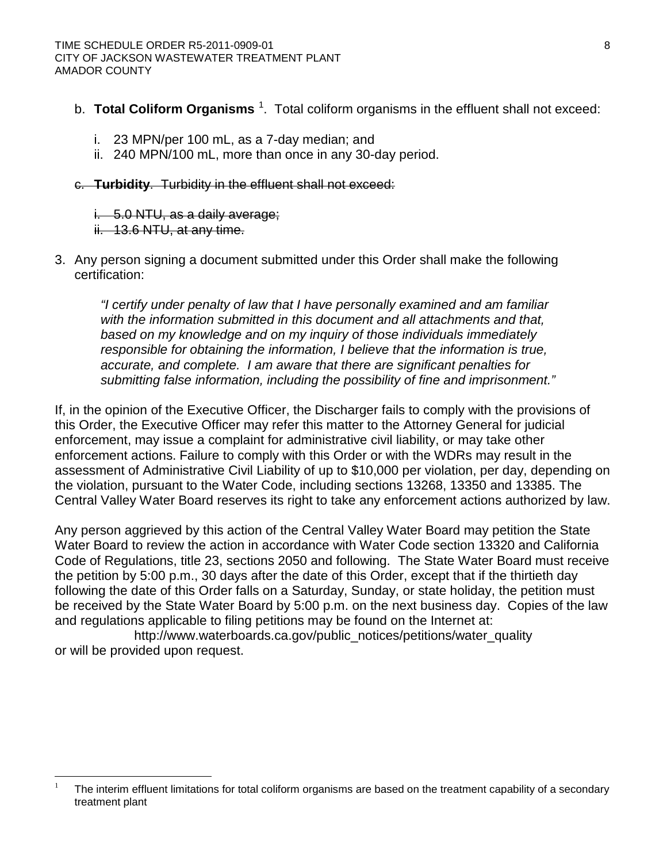- b. T**otal Coliform Organisms** <sup>[1](#page-3-0)</sup>. Total coliform organisms in the effluent shall not exceed:
	- i. 23 MPN/per 100 mL, as a 7-day median; and
	- ii. 240 MPN/100 mL, more than once in any 30-day period.
- c. **Turbidity**. Turbidity in the effluent shall not exceed:
	- i. 5.0 NTU, as a daily average;
	- ii. 13.6 NTU, at any time.
- 3. Any person signing a document submitted under this Order shall make the following certification:

*"I certify under penalty of law that I have personally examined and am familiar with the information submitted in this document and all attachments and that, based on my knowledge and on my inquiry of those individuals immediately responsible for obtaining the information, I believe that the information is true, accurate, and complete. I am aware that there are significant penalties for submitting false information, including the possibility of fine and imprisonment."*

If, in the opinion of the Executive Officer, the Discharger fails to comply with the provisions of this Order, the Executive Officer may refer this matter to the Attorney General for judicial enforcement, may issue a complaint for administrative civil liability, or may take other enforcement actions. Failure to comply with this Order or with the WDRs may result in the assessment of Administrative Civil Liability of up to \$10,000 per violation, per day, depending on the violation, pursuant to the Water Code, including sections 13268, 13350 and 13385. The Central Valley Water Board reserves its right to take any enforcement actions authorized by law.

Any person aggrieved by this action of the Central Valley Water Board may petition the State Water Board to review the action in accordance with Water Code section 13320 and California Code of Regulations, title 23, sections 2050 and following. The State Water Board must receive the petition by 5:00 p.m., 30 days after the date of this Order, except that if the thirtieth day following the date of this Order falls on a Saturday, Sunday, or state holiday, the petition must be received by the State Water Board by 5:00 p.m. on the next business day. Copies of the law and regulations applicable to filing petitions may be found on the Internet at:

[http://www.waterboards.ca.gov/public\\_notices/petitions/water\\_quality](http://www.waterboards.ca.gov/public_notices/petitions/water_quality) or will be provided upon request.

 <sup>1</sup> The interim effluent limitations for total coliform organisms are based on the treatment capability of a secondary treatment plant